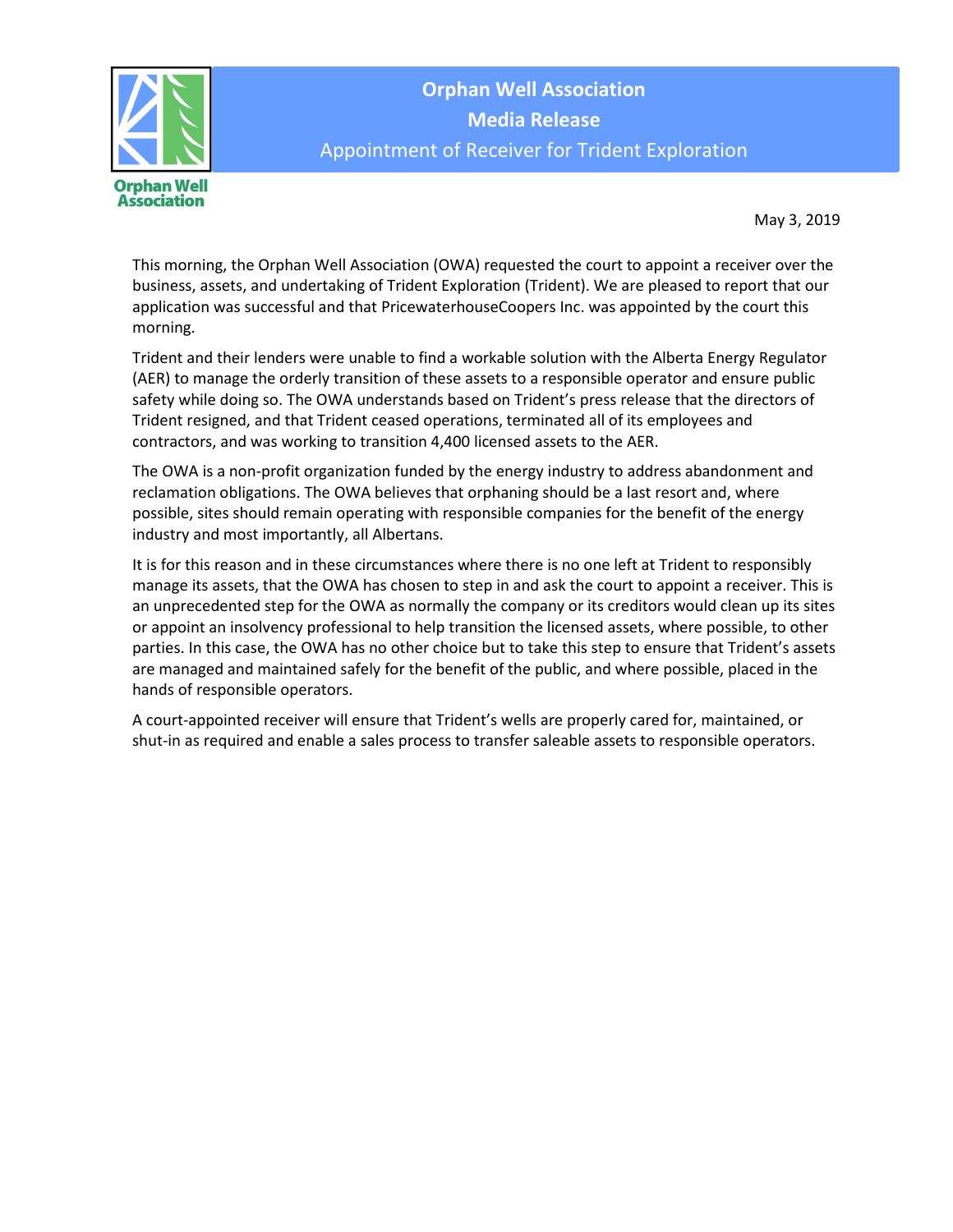

**Orphan Well Association Media Release** Appointment of Receiver for Trident Exploration

May 3, 2019

This morning, the Orphan Well Association (OWA) requested the court to appoint a receiver over the business, assets, and undertaking of Trident Exploration (Trident). We are pleased to report that our application was successful and that PricewaterhouseCoopers Inc. was appointed by the court this morning.

Trident and their lenders were unable to find a workable solution with the Alberta Energy Regulator (AER) to manage the orderly transition of these assets to a responsible operator and ensure public safety while doing so. The OWA understands based on Trident's press release that the directors of Trident resigned, and that Trident ceased operations, terminated all of its employees and contractors, and was working to transition 4,400 licensed assets to the AER.

The OWA is a non-profit organization funded by the energy industry to address abandonment and reclamation obligations. The OWA believes that orphaning should be a last resort and, where possible, sites should remain operating with responsible companies for the benefit of the energy industry and most importantly, all Albertans.

It is for this reason and in these circumstances where there is no one left at Trident to responsibly manage its assets, that the OWA has chosen to step in and ask the court to appoint a receiver. This is an unprecedented step for the OWA as normally the company or its creditors would clean up its sites or appoint an insolvency professional to help transition the licensed assets, where possible, to other parties. In this case, the OWA has no other choice but to take this step to ensure that Trident's assets are managed and maintained safely for the benefit of the public, and where possible, placed in the hands of responsible operators.

A court-appointed receiver will ensure that Trident's wells are properly cared for, maintained, or shut-in as required and enable a sales process to transfer saleable assets to responsible operators.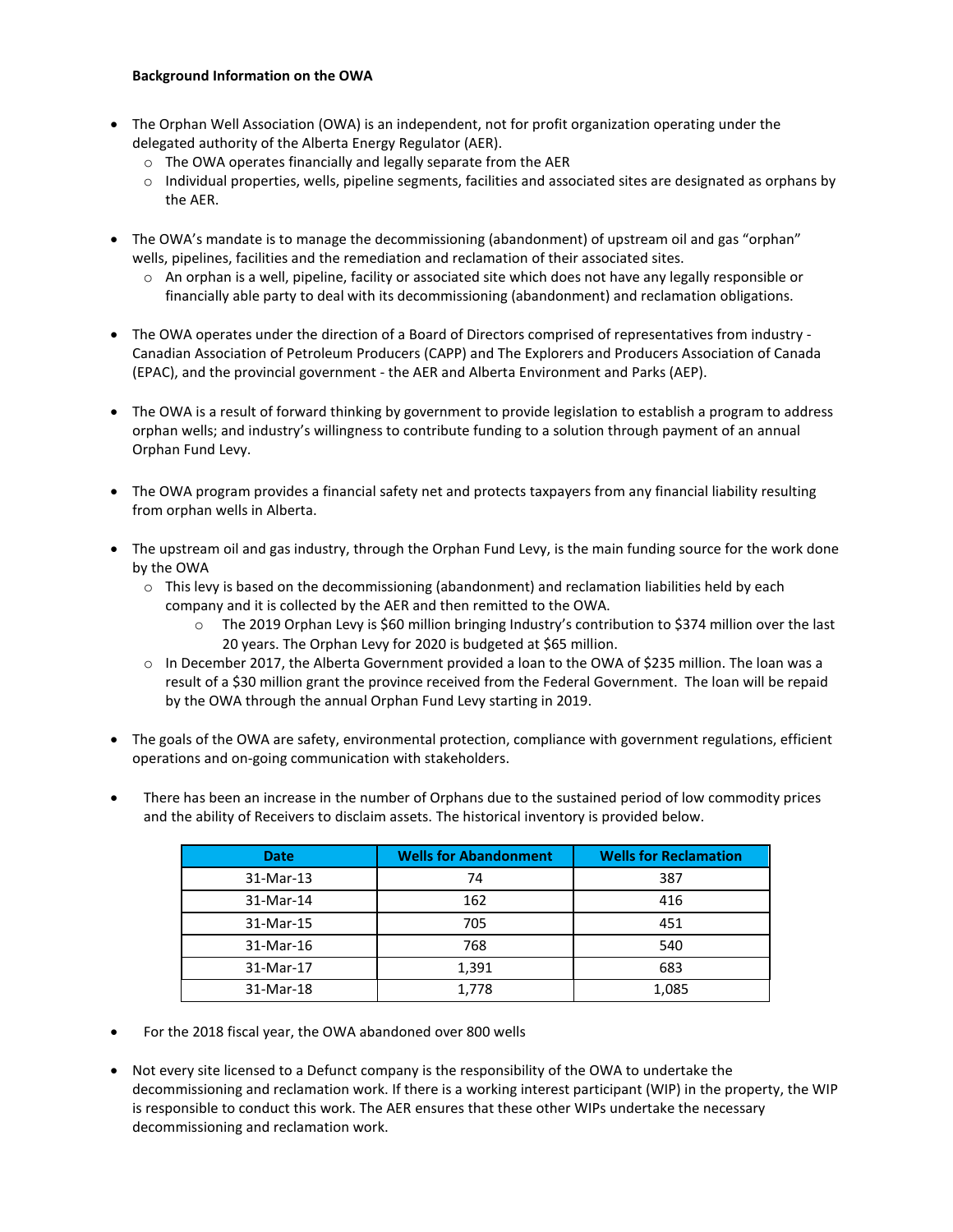## **Background Information on the OWA**

- The Orphan Well Association (OWA) is an independent, not for profit organization operating under the delegated authority of the Alberta Energy Regulator (AER).
	- o The OWA operates financially and legally separate from the AER
	- $\circ$  Individual properties, wells, pipeline segments, facilities and associated sites are designated as orphans by the AER.
- The OWA's mandate is to manage the decommissioning (abandonment) of upstream oil and gas "orphan" wells, pipelines, facilities and the remediation and reclamation of their associated sites.
	- o An orphan is a well, pipeline, facility or associated site which does not have any legally responsible or financially able party to deal with its decommissioning (abandonment) and reclamation obligations.
- The OWA operates under the direction of a Board of Directors comprised of representatives from industry Canadian Association of Petroleum Producers (CAPP) and The Explorers and Producers Association of Canada (EPAC), and the provincial government - the AER and Alberta Environment and Parks (AEP).
- The OWA is a result of forward thinking by government to provide legislation to establish a program to address orphan wells; and industry's willingness to contribute funding to a solution through payment of an annual Orphan Fund Levy.
- The OWA program provides a financial safety net and protects taxpayers from any financial liability resulting from orphan wells in Alberta.
- The upstream oil and gas industry, through the Orphan Fund Levy, is the main funding source for the work done by the OWA
	- $\circ$  This levy is based on the decommissioning (abandonment) and reclamation liabilities held by each company and it is collected by the AER and then remitted to the OWA.
		- o The 2019 Orphan Levy is \$60 million bringing Industry's contribution to \$374 million over the last 20 years. The Orphan Levy for 2020 is budgeted at \$65 million.
	- o In December 2017, the Alberta Government provided a loan to the OWA of \$235 million. The loan was a result of a \$30 million grant the province received from the Federal Government. The loan will be repaid by the OWA through the annual Orphan Fund Levy starting in 2019.
- The goals of the OWA are safety, environmental protection, compliance with government regulations, efficient operations and on-going communication with stakeholders.
- There has been an increase in the number of Orphans due to the sustained period of low commodity prices and the ability of Receivers to disclaim assets. The historical inventory is provided below.

| <b>Date</b> | <b>Wells for Abandonment</b> | <b>Wells for Reclamation</b> |
|-------------|------------------------------|------------------------------|
| 31-Mar-13   | 74                           | 387                          |
| 31-Mar-14   | 162                          | 416                          |
| 31-Mar-15   | 705                          | 451                          |
| 31-Mar-16   | 768                          | 540                          |
| 31-Mar-17   | 1,391                        | 683                          |
| 31-Mar-18   | 1,778                        | 1,085                        |

- For the 2018 fiscal year, the OWA abandoned over 800 wells
- Not every site licensed to a Defunct company is the responsibility of the OWA to undertake the decommissioning and reclamation work. If there is a working interest participant (WIP) in the property, the WIP is responsible to conduct this work. The AER ensures that these other WIPs undertake the necessary decommissioning and reclamation work.